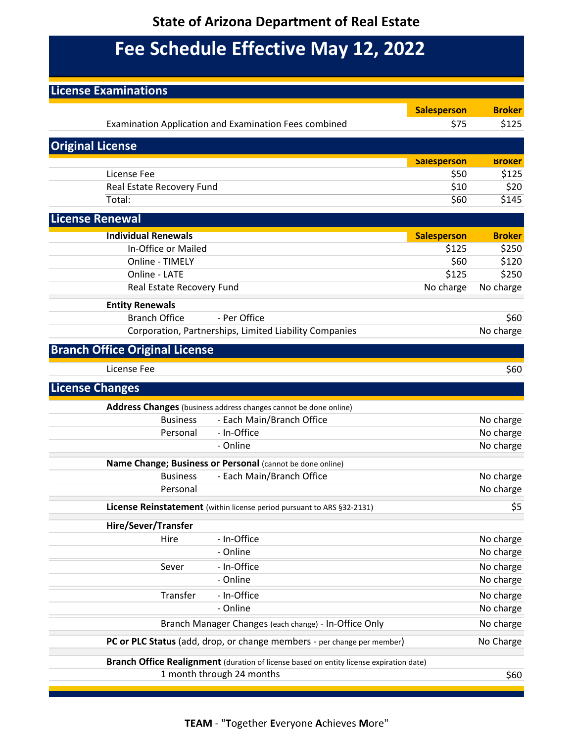### **State of Arizona Department of Real Estate**

# **Fee Schedule Effective May 12, 2022**

| <b>License Examinations</b>           |                           |                                                                                         |                    |               |
|---------------------------------------|---------------------------|-----------------------------------------------------------------------------------------|--------------------|---------------|
|                                       |                           |                                                                                         | <b>Salesperson</b> | <b>Broker</b> |
|                                       |                           | Examination Application and Examination Fees combined                                   | \$75               | \$125         |
| <b>Original License</b>               |                           |                                                                                         |                    |               |
|                                       |                           |                                                                                         | <b>Salesperson</b> | <b>Broker</b> |
| License Fee                           |                           |                                                                                         | \$50               | \$125         |
| Real Estate Recovery Fund             |                           |                                                                                         | \$10               | \$20          |
| Total:                                |                           |                                                                                         | \$60               | \$145         |
| <b>License Renewal</b>                |                           |                                                                                         |                    |               |
| <b>Individual Renewals</b>            |                           |                                                                                         | <b>Salesperson</b> | <b>Broker</b> |
|                                       | In-Office or Mailed       |                                                                                         | \$125              | \$250         |
| Online - TIMELY                       |                           |                                                                                         | \$60               | \$120         |
| Online - LATE                         |                           |                                                                                         | \$125              | \$250         |
|                                       | Real Estate Recovery Fund |                                                                                         | No charge          | No charge     |
| <b>Entity Renewals</b>                |                           |                                                                                         |                    |               |
| <b>Branch Office</b>                  |                           | - Per Office                                                                            |                    | \$60          |
|                                       |                           | Corporation, Partnerships, Limited Liability Companies                                  |                    | No charge     |
| <b>Branch Office Original License</b> |                           |                                                                                         |                    |               |
| License Fee                           |                           |                                                                                         |                    | \$60          |
| <b>License Changes</b>                |                           |                                                                                         |                    |               |
|                                       |                           | Address Changes (business address changes cannot be done online)                        |                    |               |
|                                       | <b>Business</b>           | - Each Main/Branch Office                                                               |                    | No charge     |
|                                       | Personal                  | - In-Office                                                                             |                    | No charge     |
|                                       |                           | - Online                                                                                |                    | No charge     |
|                                       |                           | Name Change; Business or Personal (cannot be done online)                               |                    |               |
|                                       | <b>Business</b>           | - Each Main/Branch Office                                                               |                    | No charge     |
|                                       | Personal                  |                                                                                         |                    | No charge     |
|                                       |                           | License Reinstatement (within license period pursuant to ARS §32-2131)                  |                    |               |
| <b>Hire/Sever/Transfer</b>            |                           |                                                                                         |                    |               |
|                                       | Hire                      | - In-Office                                                                             |                    | No charge     |
|                                       |                           | - Online                                                                                |                    | No charge     |
|                                       | Sever                     | - In-Office                                                                             |                    | No charge     |
|                                       |                           | - Online                                                                                |                    | No charge     |
|                                       | Transfer                  | - In-Office                                                                             |                    | No charge     |
|                                       |                           | - Online                                                                                |                    | No charge     |
|                                       |                           | Branch Manager Changes (each change) - In-Office Only                                   |                    | No charge     |
|                                       |                           | PC or PLC Status (add, drop, or change members - per change per member)                 |                    | No Charge     |
|                                       |                           | Branch Office Realignment (duration of license based on entity license expiration date) |                    |               |
|                                       |                           | 1 month through 24 months                                                               |                    | \$60          |
|                                       |                           |                                                                                         |                    |               |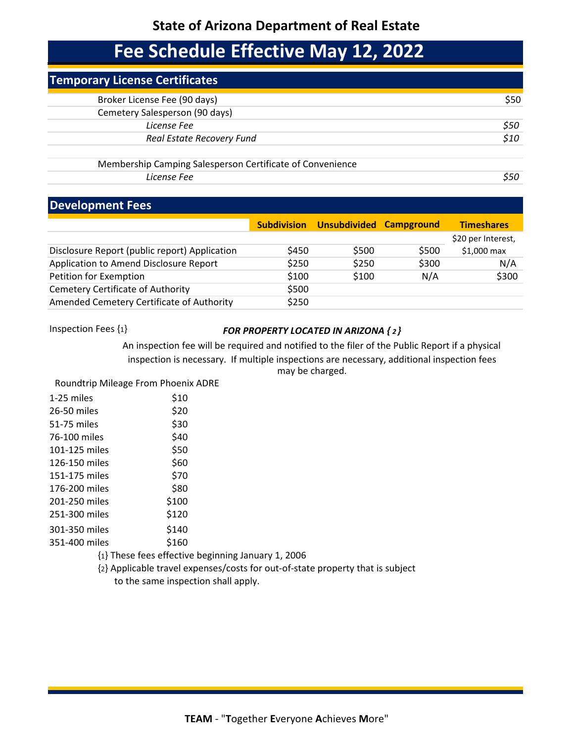#### **State of Arizona Department of Real Estate**

### **Fee Schedule Effective May 12, 2022**

| <b>Temporary License Certificates</b>                     |      |
|-----------------------------------------------------------|------|
| Broker License Fee (90 days)                              | \$50 |
| Cemetery Salesperson (90 days)                            |      |
| License Fee                                               | S50  |
| Real Estate Recovery Fund                                 | \$10 |
| Membership Camping Salesperson Certificate of Convenience |      |

*License Fee \$50*

#### **Development Fees**

|                                               |       | Subdivision Unsubdivided Campground |       | <b>Timeshares</b>  |
|-----------------------------------------------|-------|-------------------------------------|-------|--------------------|
|                                               |       |                                     |       | \$20 per Interest, |
| Disclosure Report (public report) Application | \$450 | \$500                               | \$500 | \$1,000 max        |
| Application to Amend Disclosure Report        | \$250 | \$250                               | \$300 | N/A                |
| Petition for Exemption                        | \$100 | \$100                               | N/A   | \$300              |
| <b>Cemetery Certificate of Authority</b>      | \$500 |                                     |       |                    |
| Amended Cemetery Certificate of Authority     | \$250 |                                     |       |                    |

#### Inspection Fees {1} *FOR PROPERTY LOCATED IN ARIZONA { <sup>2</sup> }*

An inspection fee will be required and notified to the filer of the Public Report if a physical inspection is necessary. If multiple inspections are necessary, additional inspection fees may be charged.

Roundtrip Mileage From Phoenix ADRE

| 1-25 miles    | \$10  |
|---------------|-------|
| 26-50 miles   | \$20  |
| 51-75 miles   | \$30  |
| 76-100 miles  | \$40  |
| 101-125 miles | \$50  |
| 126-150 miles | \$60  |
| 151-175 miles | \$70  |
| 176-200 miles | \$80  |
| 201-250 miles | \$100 |
| 251-300 miles | \$120 |
| 301-350 miles | \$140 |
| 351-400 miles | \$160 |
|               |       |

- {1} These fees effective beginning January 1, 2006
- {2} Applicable travel expenses/costs for out-of-state property that is subject

to the same inspection shall apply.